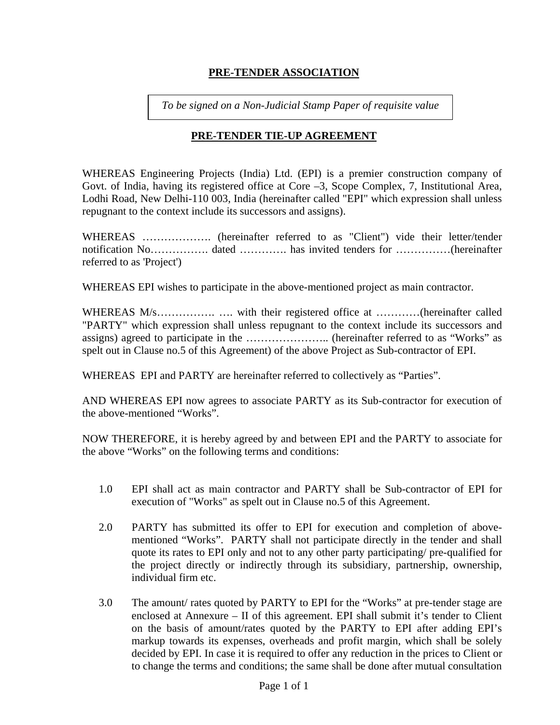## **PRE-TENDER ASSOCIATION**

*To be signed on a Non-Judicial Stamp Paper of requisite value* 

# **PRE-TENDER TIE-UP AGREEMENT**

WHEREAS Engineering Projects (India) Ltd. (EPI) is a premier construction company of Govt. of India, having its registered office at Core –3, Scope Complex, 7, Institutional Area, Lodhi Road, New Delhi-110 003, India (hereinafter called "EPI" which expression shall unless repugnant to the context include its successors and assigns).

WHEREAS ………………. (hereinafter referred to as "Client") vide their letter/tender notification No……………. dated …………. has invited tenders for ……………(hereinafter referred to as 'Project')

WHEREAS EPI wishes to participate in the above-mentioned project as main contractor.

WHEREAS M/s………………………………………………………………(hereinafter called "PARTY" which expression shall unless repugnant to the context include its successors and assigns) agreed to participate in the ………………….. (hereinafter referred to as "Works" as spelt out in Clause no.5 of this Agreement) of the above Project as Sub-contractor of EPI.

WHEREAS EPI and PARTY are hereinafter referred to collectively as "Parties".

AND WHEREAS EPI now agrees to associate PARTY as its Sub-contractor for execution of the above-mentioned "Works".

NOW THEREFORE, it is hereby agreed by and between EPI and the PARTY to associate for the above "Works" on the following terms and conditions:

- 1.0 EPI shall act as main contractor and PARTY shall be Sub-contractor of EPI for execution of "Works" as spelt out in Clause no.5 of this Agreement.
- 2.0 PARTY has submitted its offer to EPI for execution and completion of abovementioned "Works". PARTY shall not participate directly in the tender and shall quote its rates to EPI only and not to any other party participating/ pre-qualified for the project directly or indirectly through its subsidiary, partnership, ownership, individual firm etc.
- 3.0 The amount/ rates quoted by PARTY to EPI for the "Works" at pre-tender stage are enclosed at Annexure – II of this agreement. EPI shall submit it's tender to Client on the basis of amount/rates quoted by the PARTY to EPI after adding EPI's markup towards its expenses, overheads and profit margin, which shall be solely decided by EPI. In case it is required to offer any reduction in the prices to Client or to change the terms and conditions; the same shall be done after mutual consultation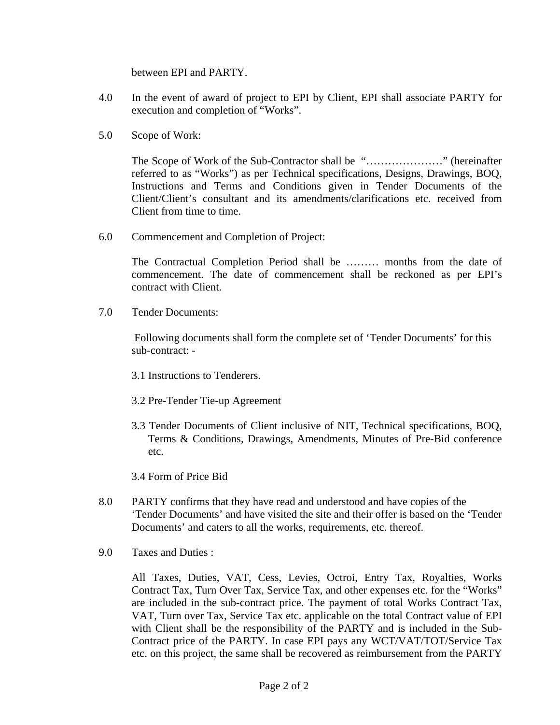between EPI and PARTY.

- 4.0 In the event of award of project to EPI by Client, EPI shall associate PARTY for execution and completion of "Works".
- 5.0 Scope of Work:

The Scope of Work of the Sub-Contractor shall be "…………………" (hereinafter referred to as "Works") as per Technical specifications, Designs, Drawings, BOQ, Instructions and Terms and Conditions given in Tender Documents of the Client/Client's consultant and its amendments/clarifications etc. received from Client from time to time.

6.0 Commencement and Completion of Project:

The Contractual Completion Period shall be ……… months from the date of commencement. The date of commencement shall be reckoned as per EPI's contract with Client.

7.0 Tender Documents:

 Following documents shall form the complete set of 'Tender Documents' for this sub-contract: -

- 3.1 Instructions to Tenderers.
- 3.2 Pre-Tender Tie-up Agreement
- 3.3 Tender Documents of Client inclusive of NIT, Technical specifications, BOQ, Terms & Conditions, Drawings, Amendments, Minutes of Pre-Bid conference etc.
- 3.4 Form of Price Bid
- 8.0 PARTY confirms that they have read and understood and have copies of the 'Tender Documents' and have visited the site and their offer is based on the 'Tender Documents' and caters to all the works, requirements, etc. thereof.
- 9.0 Taxes and Duties :

All Taxes, Duties, VAT, Cess, Levies, Octroi, Entry Tax, Royalties, Works Contract Tax, Turn Over Tax, Service Tax, and other expenses etc. for the "Works" are included in the sub-contract price. The payment of total Works Contract Tax, VAT, Turn over Tax, Service Tax etc. applicable on the total Contract value of EPI with Client shall be the responsibility of the PARTY and is included in the Sub-Contract price of the PARTY. In case EPI pays any WCT/VAT/TOT/Service Tax etc. on this project, the same shall be recovered as reimbursement from the PARTY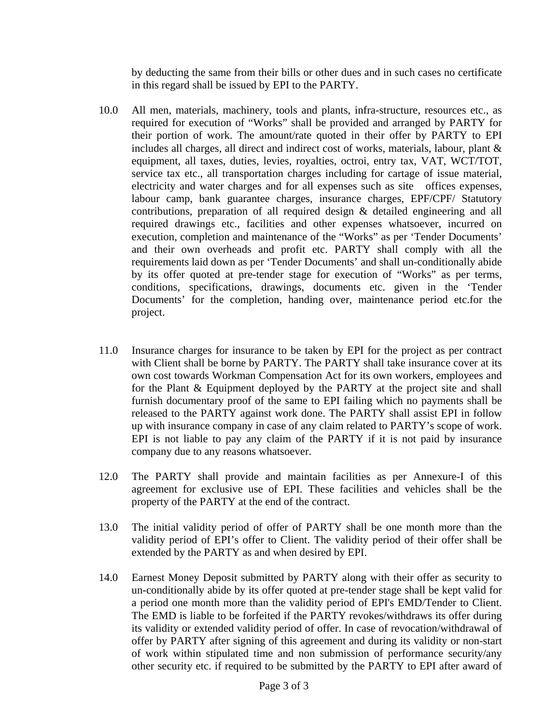by deducting the same from their bills or other dues and in such cases no certificate in this regard shall be issued by EPI to the PARTY.

- 10.0 All men, materials, machinery, tools and plants, infra-structure, resources etc., as required for execution of "Works" shall be provided and arranged by PARTY for their portion of work. The amount/rate quoted in their offer by PARTY to EPI includes all charges, all direct and indirect cost of works, materials, labour, plant & equipment, all taxes, duties, levies, royalties, octroi, entry tax, VAT, WCT/TOT, service tax etc., all transportation charges including for cartage of issue material, electricity and water charges and for all expenses such as site offices expenses, labour camp, bank guarantee charges, insurance charges, EPF/CPF/ Statutory contributions, preparation of all required design & detailed engineering and all required drawings etc., facilities and other expenses whatsoever, incurred on execution, completion and maintenance of the "Works" as per 'Tender Documents' and their own overheads and profit etc. PARTY shall comply with all the requirements laid down as per 'Tender Documents' and shall un-conditionally abide by its offer quoted at pre-tender stage for execution of "Works" as per terms, conditions, specifications, drawings, documents etc. given in the 'Tender Documents' for the completion, handing over, maintenance period etc.for the project.
- 11.0 Insurance charges for insurance to be taken by EPI for the project as per contract with Client shall be borne by PARTY. The PARTY shall take insurance cover at its own cost towards Workman Compensation Act for its own workers, employees and for the Plant & Equipment deployed by the PARTY at the project site and shall furnish documentary proof of the same to EPI failing which no payments shall be released to the PARTY against work done. The PARTY shall assist EPI in follow up with insurance company in case of any claim related to PARTY's scope of work. EPI is not liable to pay any claim of the PARTY if it is not paid by insurance company due to any reasons whatsoever.
- 12.0 The PARTY shall provide and maintain facilities as per Annexure-I of this agreement for exclusive use of EPI. These facilities and vehicles shall be the property of the PARTY at the end of the contract.
- 13.0 The initial validity period of offer of PARTY shall be one month more than the validity period of EPI's offer to Client. The validity period of their offer shall be extended by the PARTY as and when desired by EPI.
- 14.0 Earnest Money Deposit submitted by PARTY along with their offer as security to un-conditionally abide by its offer quoted at pre-tender stage shall be kept valid for a period one month more than the validity period of EPI's EMD/Tender to Client. The EMD is liable to be forfeited if the PARTY revokes/withdraws its offer during its validity or extended validity period of offer. In case of revocation/withdrawal of offer by PARTY after signing of this agreement and during its validity or non-start of work within stipulated time and non submission of performance security/any other security etc. if required to be submitted by the PARTY to EPI after award of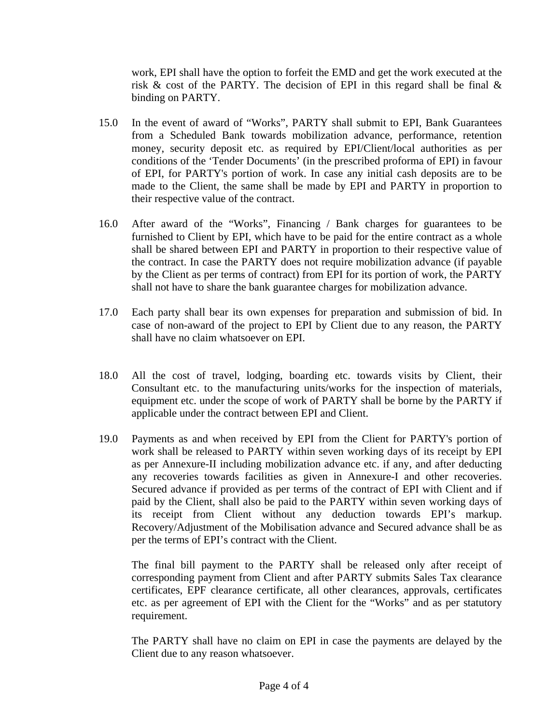work, EPI shall have the option to forfeit the EMD and get the work executed at the risk  $\&$  cost of the PARTY. The decision of EPI in this regard shall be final  $\&$ binding on PARTY.

- 15.0 In the event of award of "Works", PARTY shall submit to EPI, Bank Guarantees from a Scheduled Bank towards mobilization advance, performance, retention money, security deposit etc. as required by EPI/Client/local authorities as per conditions of the 'Tender Documents' (in the prescribed proforma of EPI) in favour of EPI, for PARTY's portion of work. In case any initial cash deposits are to be made to the Client, the same shall be made by EPI and PARTY in proportion to their respective value of the contract.
- 16.0 After award of the "Works", Financing / Bank charges for guarantees to be furnished to Client by EPI, which have to be paid for the entire contract as a whole shall be shared between EPI and PARTY in proportion to their respective value of the contract. In case the PARTY does not require mobilization advance (if payable by the Client as per terms of contract) from EPI for its portion of work, the PARTY shall not have to share the bank guarantee charges for mobilization advance.
- 17.0 Each party shall bear its own expenses for preparation and submission of bid. In case of non-award of the project to EPI by Client due to any reason, the PARTY shall have no claim whatsoever on EPI.
- 18.0 All the cost of travel, lodging, boarding etc. towards visits by Client, their Consultant etc. to the manufacturing units/works for the inspection of materials, equipment etc. under the scope of work of PARTY shall be borne by the PARTY if applicable under the contract between EPI and Client.
- 19.0 Payments as and when received by EPI from the Client for PARTY's portion of work shall be released to PARTY within seven working days of its receipt by EPI as per Annexure-II including mobilization advance etc. if any, and after deducting any recoveries towards facilities as given in Annexure-I and other recoveries. Secured advance if provided as per terms of the contract of EPI with Client and if paid by the Client, shall also be paid to the PARTY within seven working days of its receipt from Client without any deduction towards EPI's markup. Recovery/Adjustment of the Mobilisation advance and Secured advance shall be as per the terms of EPI's contract with the Client.

The final bill payment to the PARTY shall be released only after receipt of corresponding payment from Client and after PARTY submits Sales Tax clearance certificates, EPF clearance certificate, all other clearances, approvals, certificates etc. as per agreement of EPI with the Client for the "Works" and as per statutory requirement.

The PARTY shall have no claim on EPI in case the payments are delayed by the Client due to any reason whatsoever.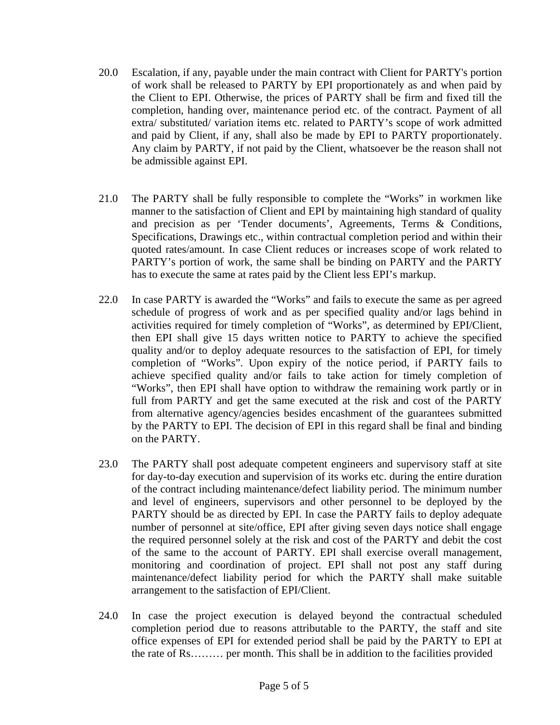- 20.0 Escalation, if any, payable under the main contract with Client for PARTY's portion of work shall be released to PARTY by EPI proportionately as and when paid by the Client to EPI. Otherwise, the prices of PARTY shall be firm and fixed till the completion, handing over, maintenance period etc. of the contract. Payment of all extra/ substituted/ variation items etc. related to PARTY's scope of work admitted and paid by Client, if any, shall also be made by EPI to PARTY proportionately. Any claim by PARTY, if not paid by the Client, whatsoever be the reason shall not be admissible against EPI.
- 21.0 The PARTY shall be fully responsible to complete the "Works" in workmen like manner to the satisfaction of Client and EPI by maintaining high standard of quality and precision as per 'Tender documents', Agreements, Terms & Conditions, Specifications, Drawings etc., within contractual completion period and within their quoted rates/amount. In case Client reduces or increases scope of work related to PARTY's portion of work, the same shall be binding on PARTY and the PARTY has to execute the same at rates paid by the Client less EPI's markup.
- 22.0 In case PARTY is awarded the "Works" and fails to execute the same as per agreed schedule of progress of work and as per specified quality and/or lags behind in activities required for timely completion of "Works", as determined by EPI/Client, then EPI shall give 15 days written notice to PARTY to achieve the specified quality and/or to deploy adequate resources to the satisfaction of EPI, for timely completion of "Works". Upon expiry of the notice period, if PARTY fails to achieve specified quality and/or fails to take action for timely completion of "Works", then EPI shall have option to withdraw the remaining work partly or in full from PARTY and get the same executed at the risk and cost of the PARTY from alternative agency/agencies besides encashment of the guarantees submitted by the PARTY to EPI. The decision of EPI in this regard shall be final and binding on the PARTY.
- 23.0 The PARTY shall post adequate competent engineers and supervisory staff at site for day-to-day execution and supervision of its works etc. during the entire duration of the contract including maintenance/defect liability period. The minimum number and level of engineers, supervisors and other personnel to be deployed by the PARTY should be as directed by EPI. In case the PARTY fails to deploy adequate number of personnel at site/office, EPI after giving seven days notice shall engage the required personnel solely at the risk and cost of the PARTY and debit the cost of the same to the account of PARTY. EPI shall exercise overall management, monitoring and coordination of project. EPI shall not post any staff during maintenance/defect liability period for which the PARTY shall make suitable arrangement to the satisfaction of EPI/Client.
- 24.0 In case the project execution is delayed beyond the contractual scheduled completion period due to reasons attributable to the PARTY, the staff and site office expenses of EPI for extended period shall be paid by the PARTY to EPI at the rate of Rs……… per month. This shall be in addition to the facilities provided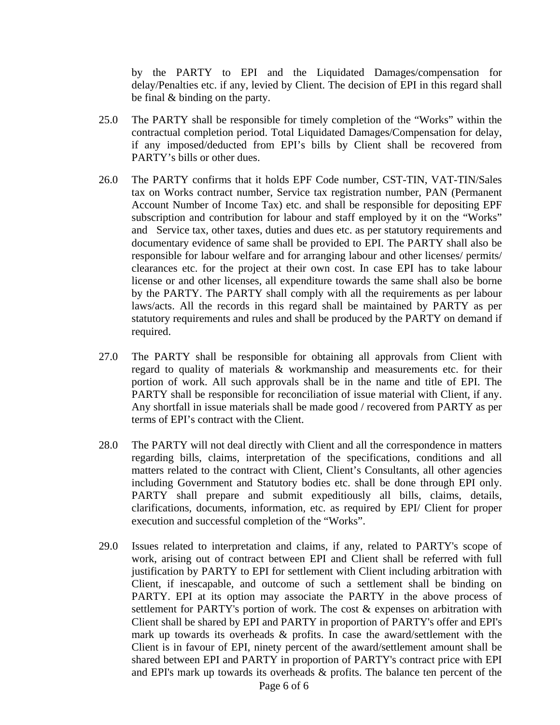by the PARTY to EPI and the Liquidated Damages/compensation for delay/Penalties etc. if any, levied by Client. The decision of EPI in this regard shall be final & binding on the party.

- 25.0 The PARTY shall be responsible for timely completion of the "Works" within the contractual completion period. Total Liquidated Damages/Compensation for delay, if any imposed/deducted from EPI's bills by Client shall be recovered from PARTY's bills or other dues.
- 26.0 The PARTY confirms that it holds EPF Code number, CST-TIN, VAT-TIN/Sales tax on Works contract number, Service tax registration number, PAN (Permanent Account Number of Income Tax) etc. and shall be responsible for depositing EPF subscription and contribution for labour and staff employed by it on the "Works" and Service tax, other taxes, duties and dues etc. as per statutory requirements and documentary evidence of same shall be provided to EPI. The PARTY shall also be responsible for labour welfare and for arranging labour and other licenses/ permits/ clearances etc. for the project at their own cost. In case EPI has to take labour license or and other licenses, all expenditure towards the same shall also be borne by the PARTY. The PARTY shall comply with all the requirements as per labour laws/acts. All the records in this regard shall be maintained by PARTY as per statutory requirements and rules and shall be produced by the PARTY on demand if required.
- 27.0 The PARTY shall be responsible for obtaining all approvals from Client with regard to quality of materials & workmanship and measurements etc. for their portion of work. All such approvals shall be in the name and title of EPI. The PARTY shall be responsible for reconciliation of issue material with Client, if any. Any shortfall in issue materials shall be made good / recovered from PARTY as per terms of EPI's contract with the Client.
- 28.0 The PARTY will not deal directly with Client and all the correspondence in matters regarding bills, claims, interpretation of the specifications, conditions and all matters related to the contract with Client, Client's Consultants, all other agencies including Government and Statutory bodies etc. shall be done through EPI only. PARTY shall prepare and submit expeditiously all bills, claims, details, clarifications, documents, information, etc. as required by EPI/ Client for proper execution and successful completion of the "Works".
- 29.0 Issues related to interpretation and claims, if any, related to PARTY's scope of work, arising out of contract between EPI and Client shall be referred with full justification by PARTY to EPI for settlement with Client including arbitration with Client, if inescapable, and outcome of such a settlement shall be binding on PARTY. EPI at its option may associate the PARTY in the above process of settlement for PARTY's portion of work. The cost & expenses on arbitration with Client shall be shared by EPI and PARTY in proportion of PARTY's offer and EPI's mark up towards its overheads  $\&$  profits. In case the award/settlement with the Client is in favour of EPI, ninety percent of the award/settlement amount shall be shared between EPI and PARTY in proportion of PARTY's contract price with EPI and EPI's mark up towards its overheads & profits. The balance ten percent of the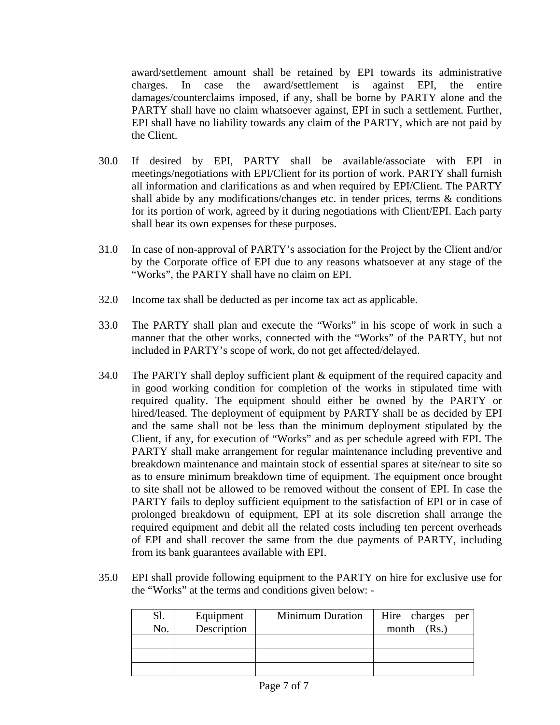award/settlement amount shall be retained by EPI towards its administrative charges. In case the award/settlement is against EPI, the entire damages/counterclaims imposed, if any, shall be borne by PARTY alone and the PARTY shall have no claim whatsoever against, EPI in such a settlement. Further, EPI shall have no liability towards any claim of the PARTY, which are not paid by the Client.

- 30.0 If desired by EPI, PARTY shall be available/associate with EPI in meetings/negotiations with EPI/Client for its portion of work. PARTY shall furnish all information and clarifications as and when required by EPI/Client. The PARTY shall abide by any modifications/changes etc. in tender prices, terms & conditions for its portion of work, agreed by it during negotiations with Client/EPI. Each party shall bear its own expenses for these purposes.
- 31.0 In case of non-approval of PARTY's association for the Project by the Client and/or by the Corporate office of EPI due to any reasons whatsoever at any stage of the "Works", the PARTY shall have no claim on EPI.
- 32.0 Income tax shall be deducted as per income tax act as applicable.
- 33.0 The PARTY shall plan and execute the "Works" in his scope of work in such a manner that the other works, connected with the "Works" of the PARTY, but not included in PARTY's scope of work, do not get affected/delayed.
- 34.0 The PARTY shall deploy sufficient plant & equipment of the required capacity and in good working condition for completion of the works in stipulated time with required quality. The equipment should either be owned by the PARTY or hired/leased. The deployment of equipment by PARTY shall be as decided by EPI and the same shall not be less than the minimum deployment stipulated by the Client, if any, for execution of "Works" and as per schedule agreed with EPI. The PARTY shall make arrangement for regular maintenance including preventive and breakdown maintenance and maintain stock of essential spares at site/near to site so as to ensure minimum breakdown time of equipment. The equipment once brought to site shall not be allowed to be removed without the consent of EPI. In case the PARTY fails to deploy sufficient equipment to the satisfaction of EPI or in case of prolonged breakdown of equipment, EPI at its sole discretion shall arrange the required equipment and debit all the related costs including ten percent overheads of EPI and shall recover the same from the due payments of PARTY, including from its bank guarantees available with EPI.
- 35.0 EPI shall provide following equipment to the PARTY on hire for exclusive use for the "Works" at the terms and conditions given below: -

| Sl.<br>No. | Equipment<br>Description | <b>Minimum Duration</b> | Hire charges<br>per<br>(Rs.)<br>month |
|------------|--------------------------|-------------------------|---------------------------------------|
|            |                          |                         |                                       |
|            |                          |                         |                                       |
|            |                          |                         |                                       |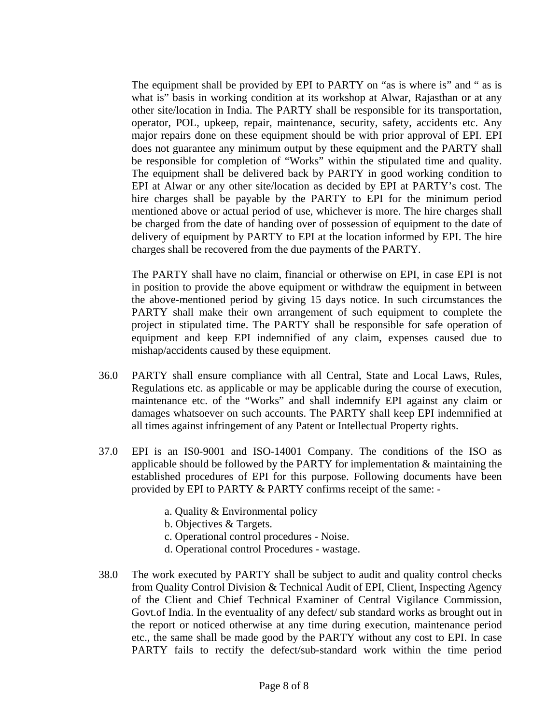The equipment shall be provided by EPI to PARTY on "as is where is" and " as is what is" basis in working condition at its workshop at Alwar, Rajasthan or at any other site/location in India. The PARTY shall be responsible for its transportation, operator, POL, upkeep, repair, maintenance, security, safety, accidents etc. Any major repairs done on these equipment should be with prior approval of EPI. EPI does not guarantee any minimum output by these equipment and the PARTY shall be responsible for completion of "Works" within the stipulated time and quality. The equipment shall be delivered back by PARTY in good working condition to EPI at Alwar or any other site/location as decided by EPI at PARTY's cost. The hire charges shall be payable by the PARTY to EPI for the minimum period mentioned above or actual period of use, whichever is more. The hire charges shall be charged from the date of handing over of possession of equipment to the date of delivery of equipment by PARTY to EPI at the location informed by EPI. The hire charges shall be recovered from the due payments of the PARTY.

The PARTY shall have no claim, financial or otherwise on EPI, in case EPI is not in position to provide the above equipment or withdraw the equipment in between the above-mentioned period by giving 15 days notice. In such circumstances the PARTY shall make their own arrangement of such equipment to complete the project in stipulated time. The PARTY shall be responsible for safe operation of equipment and keep EPI indemnified of any claim, expenses caused due to mishap/accidents caused by these equipment.

- 36.0 PARTY shall ensure compliance with all Central, State and Local Laws, Rules, Regulations etc. as applicable or may be applicable during the course of execution, maintenance etc. of the "Works" and shall indemnify EPI against any claim or damages whatsoever on such accounts. The PARTY shall keep EPI indemnified at all times against infringement of any Patent or Intellectual Property rights.
- 37.0 EPI is an IS0-9001 and ISO-14001 Company. The conditions of the ISO as applicable should be followed by the PARTY for implementation & maintaining the established procedures of EPI for this purpose. Following documents have been provided by EPI to PARTY & PARTY confirms receipt of the same:
	- a. Quality & Environmental policy
	- b. Objectives & Targets.
	- c. Operational control procedures Noise.
	- d. Operational control Procedures wastage.
- 38.0 The work executed by PARTY shall be subject to audit and quality control checks from Quality Control Division & Technical Audit of EPI, Client, Inspecting Agency of the Client and Chief Technical Examiner of Central Vigilance Commission, Govt.of India. In the eventuality of any defect/ sub standard works as brought out in the report or noticed otherwise at any time during execution, maintenance period etc., the same shall be made good by the PARTY without any cost to EPI. In case PARTY fails to rectify the defect/sub-standard work within the time period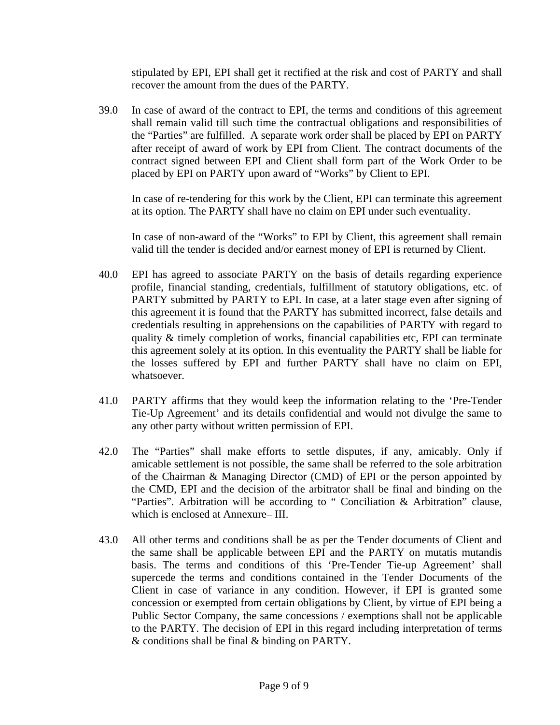stipulated by EPI, EPI shall get it rectified at the risk and cost of PARTY and shall recover the amount from the dues of the PARTY.

39.0 In case of award of the contract to EPI, the terms and conditions of this agreement shall remain valid till such time the contractual obligations and responsibilities of the "Parties" are fulfilled. A separate work order shall be placed by EPI on PARTY after receipt of award of work by EPI from Client. The contract documents of the contract signed between EPI and Client shall form part of the Work Order to be placed by EPI on PARTY upon award of "Works" by Client to EPI.

In case of re-tendering for this work by the Client, EPI can terminate this agreement at its option. The PARTY shall have no claim on EPI under such eventuality.

In case of non-award of the "Works" to EPI by Client, this agreement shall remain valid till the tender is decided and/or earnest money of EPI is returned by Client.

- 40.0 EPI has agreed to associate PARTY on the basis of details regarding experience profile, financial standing, credentials, fulfillment of statutory obligations, etc. of PARTY submitted by PARTY to EPI. In case, at a later stage even after signing of this agreement it is found that the PARTY has submitted incorrect, false details and credentials resulting in apprehensions on the capabilities of PARTY with regard to quality & timely completion of works, financial capabilities etc, EPI can terminate this agreement solely at its option. In this eventuality the PARTY shall be liable for the losses suffered by EPI and further PARTY shall have no claim on EPI, whatsoever.
- 41.0 PARTY affirms that they would keep the information relating to the 'Pre-Tender Tie-Up Agreement' and its details confidential and would not divulge the same to any other party without written permission of EPI.
- 42.0 The "Parties" shall make efforts to settle disputes, if any, amicably. Only if amicable settlement is not possible, the same shall be referred to the sole arbitration of the Chairman & Managing Director (CMD) of EPI or the person appointed by the CMD, EPI and the decision of the arbitrator shall be final and binding on the "Parties". Arbitration will be according to " Conciliation & Arbitration" clause, which is enclosed at Annexure– III.
- 43.0 All other terms and conditions shall be as per the Tender documents of Client and the same shall be applicable between EPI and the PARTY on mutatis mutandis basis. The terms and conditions of this 'Pre-Tender Tie-up Agreement' shall supercede the terms and conditions contained in the Tender Documents of the Client in case of variance in any condition. However, if EPI is granted some concession or exempted from certain obligations by Client, by virtue of EPI being a Public Sector Company, the same concessions / exemptions shall not be applicable to the PARTY. The decision of EPI in this regard including interpretation of terms & conditions shall be final & binding on PARTY.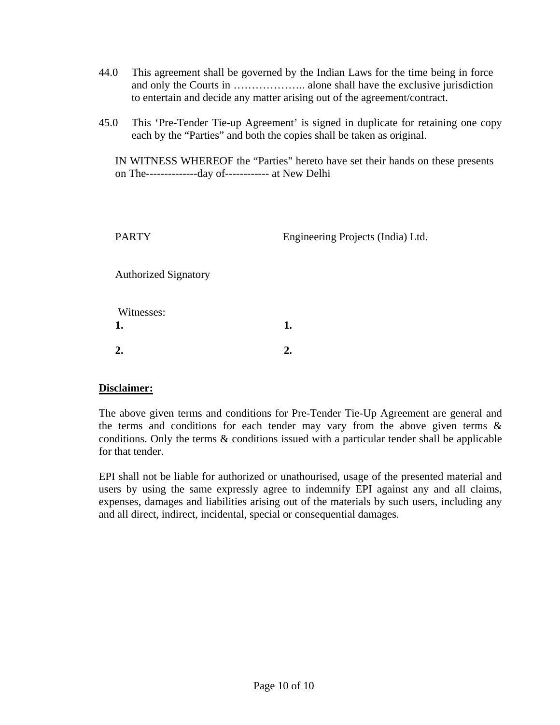- 44.0 This agreement shall be governed by the Indian Laws for the time being in force and only the Courts in ……………….. alone shall have the exclusive jurisdiction to entertain and decide any matter arising out of the agreement/contract.
- 45.0 This 'Pre-Tender Tie-up Agreement' is signed in duplicate for retaining one copy each by the "Parties" and both the copies shall be taken as original.

IN WITNESS WHEREOF the "Parties" hereto have set their hands on these presents on The-------------- day of------------ at New Delhi

| <b>PARTY</b>                | Engineering Projects (India) Ltd. |
|-----------------------------|-----------------------------------|
| <b>Authorized Signatory</b> |                                   |
| Witnesses:<br>1.            | 1.                                |
|                             | 2.                                |

#### **Disclaimer:**

The above given terms and conditions for Pre-Tender Tie-Up Agreement are general and the terms and conditions for each tender may vary from the above given terms  $\&$ conditions. Only the terms & conditions issued with a particular tender shall be applicable for that tender.

EPI shall not be liable for authorized or unathourised, usage of the presented material and users by using the same expressly agree to indemnify EPI against any and all claims, expenses, damages and liabilities arising out of the materials by such users, including any and all direct, indirect, incidental, special or consequential damages.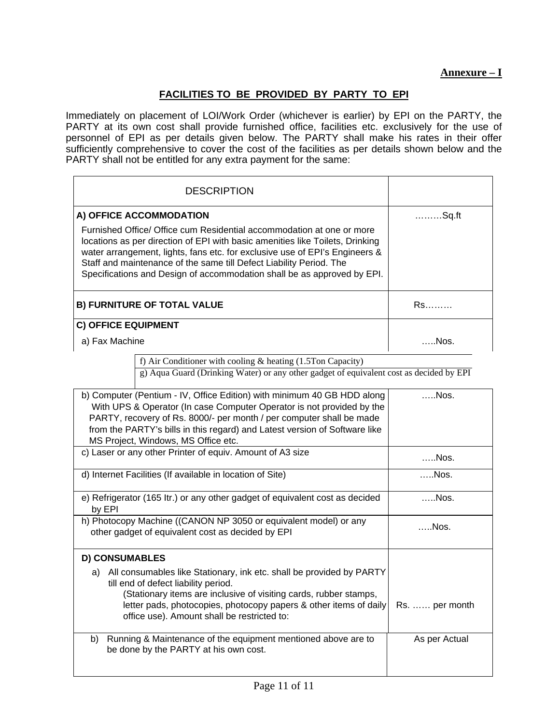## **FACILITIES TO BE PROVIDED BY PARTY TO EPI**

Immediately on placement of LOI/Work Order (whichever is earlier) by EPI on the PARTY, the PARTY at its own cost shall provide furnished office, facilities etc. exclusively for the use of personnel of EPI as per details given below. The PARTY shall make his rates in their offer sufficiently comprehensive to cover the cost of the facilities as per details shown below and the PARTY shall not be entitled for any extra payment for the same:

| <b>DESCRIPTION</b>                                                                                                                                                                                                                                                                                                                                                                      |            |
|-----------------------------------------------------------------------------------------------------------------------------------------------------------------------------------------------------------------------------------------------------------------------------------------------------------------------------------------------------------------------------------------|------------|
| A) OFFICE ACCOMMODATION                                                                                                                                                                                                                                                                                                                                                                 | Sq.ft      |
| Furnished Office/ Office cum Residential accommodation at one or more<br>locations as per direction of EPI with basic amenities like Toilets, Drinking<br>water arrangement, lights, fans etc. for exclusive use of EPI's Engineers &<br>Staff and maintenance of the same till Defect Liability Period. The<br>Specifications and Design of accommodation shall be as approved by EPI. |            |
| <b>B) FURNITURE OF TOTAL VALUE</b>                                                                                                                                                                                                                                                                                                                                                      | Rs         |
| <b>C) OFFICE EQUIPMENT</b>                                                                                                                                                                                                                                                                                                                                                              |            |
| a) Fax Machine                                                                                                                                                                                                                                                                                                                                                                          | <b>Nos</b> |

f) Air Conditioner with cooling & heating (1.5Ton Capacity)

g) Aqua Guard (Drinking Water) or any other gadget of equivalent cost as decided by EPI

| b) Computer (Pentium - IV, Office Edition) with minimum 40 GB HDD along<br>With UPS & Operator (In case Computer Operator is not provided by the<br>PARTY, recovery of Rs. 8000/- per month / per computer shall be made<br>from the PARTY's bills in this regard) and Latest version of Software like<br>MS Project, Windows, MS Office etc. | . Nos.         |
|-----------------------------------------------------------------------------------------------------------------------------------------------------------------------------------------------------------------------------------------------------------------------------------------------------------------------------------------------|----------------|
| c) Laser or any other Printer of equiv. Amount of A3 size                                                                                                                                                                                                                                                                                     | Nos.           |
| d) Internet Facilities (If available in location of Site)                                                                                                                                                                                                                                                                                     | Nos.           |
| e) Refrigerator (165 ltr.) or any other gadget of equivalent cost as decided<br>by EPI                                                                                                                                                                                                                                                        | Nos.           |
| h) Photocopy Machine ((CANON NP 3050 or equivalent model) or any<br>other gadget of equivalent cost as decided by EPI                                                                                                                                                                                                                         | …Nos.          |
| <b>D) CONSUMABLES</b>                                                                                                                                                                                                                                                                                                                         |                |
| All consumables like Stationary, ink etc. shall be provided by PARTY<br>a)<br>till end of defect liability period.<br>(Stationary items are inclusive of visiting cards, rubber stamps,<br>letter pads, photocopies, photocopy papers & other items of daily<br>office use). Amount shall be restricted to:                                   | Rs.  per month |
| Running & Maintenance of the equipment mentioned above are to<br>b)<br>be done by the PARTY at his own cost.                                                                                                                                                                                                                                  | As per Actual  |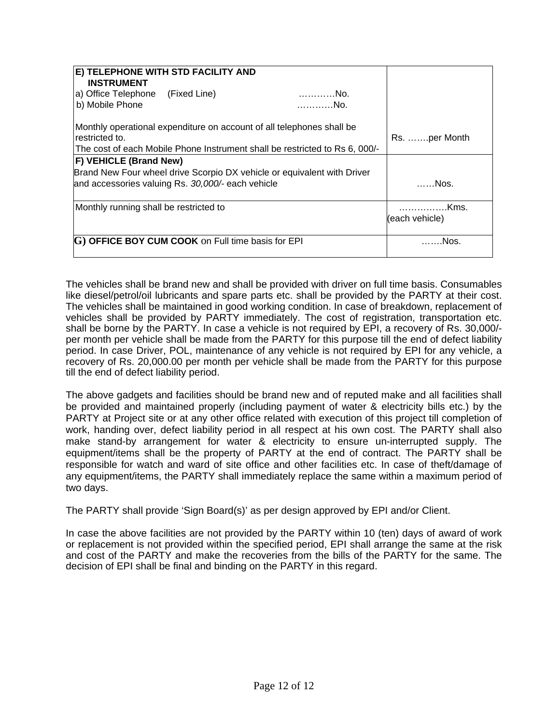| E) TELEPHONE WITH STD FACILITY AND                                          |                |
|-----------------------------------------------------------------------------|----------------|
| <b>INSTRUMENT</b>                                                           |                |
| a) Office Telephone (Fixed Line)<br>No.                                     |                |
| b) Mobile Phone<br>. No.                                                    |                |
| Monthly operational expenditure on account of all telephones shall be       |                |
| restricted to.                                                              | Rs. per Month  |
| The cost of each Mobile Phone Instrument shall be restricted to Rs 6, 000/- |                |
| <b>F) VEHICLE (Brand New)</b>                                               |                |
| Brand New Four wheel drive Scorpio DX vehicle or equivalent with Driver     |                |
| and accessories valuing Rs. 30,000/- each vehicle                           | ……Nos.         |
|                                                                             |                |
| Monthly running shall be restricted to                                      | Kms.           |
|                                                                             | (each vehicle) |
|                                                                             |                |
| G) OFFICE BOY CUM COOK on Full time basis for EPI                           | Nos.           |
|                                                                             |                |

The vehicles shall be brand new and shall be provided with driver on full time basis. Consumables like diesel/petrol/oil lubricants and spare parts etc. shall be provided by the PARTY at their cost. The vehicles shall be maintained in good working condition. In case of breakdown, replacement of vehicles shall be provided by PARTY immediately. The cost of registration, transportation etc. shall be borne by the PARTY. In case a vehicle is not required by EPI, a recovery of Rs. 30,000/ per month per vehicle shall be made from the PARTY for this purpose till the end of defect liability period. In case Driver, POL, maintenance of any vehicle is not required by EPI for any vehicle, a recovery of Rs. 20,000.00 per month per vehicle shall be made from the PARTY for this purpose till the end of defect liability period.

The above gadgets and facilities should be brand new and of reputed make and all facilities shall be provided and maintained properly (including payment of water & electricity bills etc.) by the PARTY at Project site or at any other office related with execution of this project till completion of work, handing over, defect liability period in all respect at his own cost. The PARTY shall also make stand-by arrangement for water & electricity to ensure un-interrupted supply. The equipment/items shall be the property of PARTY at the end of contract. The PARTY shall be responsible for watch and ward of site office and other facilities etc. In case of theft/damage of any equipment/items, the PARTY shall immediately replace the same within a maximum period of two days.

The PARTY shall provide 'Sign Board(s)' as per design approved by EPI and/or Client.

In case the above facilities are not provided by the PARTY within 10 (ten) days of award of work or replacement is not provided within the specified period, EPI shall arrange the same at the risk and cost of the PARTY and make the recoveries from the bills of the PARTY for the same. The decision of EPI shall be final and binding on the PARTY in this regard.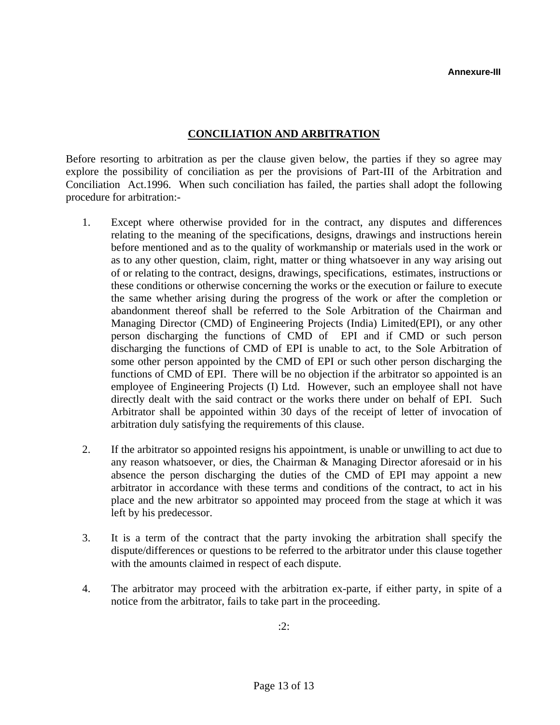## **CONCILIATION AND ARBITRATION**

Before resorting to arbitration as per the clause given below, the parties if they so agree may explore the possibility of conciliation as per the provisions of Part-III of the Arbitration and Conciliation Act.1996. When such conciliation has failed, the parties shall adopt the following procedure for arbitration:-

- 1. Except where otherwise provided for in the contract, any disputes and differences relating to the meaning of the specifications, designs, drawings and instructions herein before mentioned and as to the quality of workmanship or materials used in the work or as to any other question, claim, right, matter or thing whatsoever in any way arising out of or relating to the contract, designs, drawings, specifications, estimates, instructions or these conditions or otherwise concerning the works or the execution or failure to execute the same whether arising during the progress of the work or after the completion or abandonment thereof shall be referred to the Sole Arbitration of the Chairman and Managing Director (CMD) of Engineering Projects (India) Limited(EPI), or any other person discharging the functions of CMD of EPI and if CMD or such person discharging the functions of CMD of EPI is unable to act, to the Sole Arbitration of some other person appointed by the CMD of EPI or such other person discharging the functions of CMD of EPI. There will be no objection if the arbitrator so appointed is an employee of Engineering Projects (I) Ltd. However, such an employee shall not have directly dealt with the said contract or the works there under on behalf of EPI. Such Arbitrator shall be appointed within 30 days of the receipt of letter of invocation of arbitration duly satisfying the requirements of this clause.
- 2. If the arbitrator so appointed resigns his appointment, is unable or unwilling to act due to any reason whatsoever, or dies, the Chairman & Managing Director aforesaid or in his absence the person discharging the duties of the CMD of EPI may appoint a new arbitrator in accordance with these terms and conditions of the contract, to act in his place and the new arbitrator so appointed may proceed from the stage at which it was left by his predecessor.
- 3. It is a term of the contract that the party invoking the arbitration shall specify the dispute/differences or questions to be referred to the arbitrator under this clause together with the amounts claimed in respect of each dispute.
- 4. The arbitrator may proceed with the arbitration ex-parte, if either party, in spite of a notice from the arbitrator, fails to take part in the proceeding.

:2: